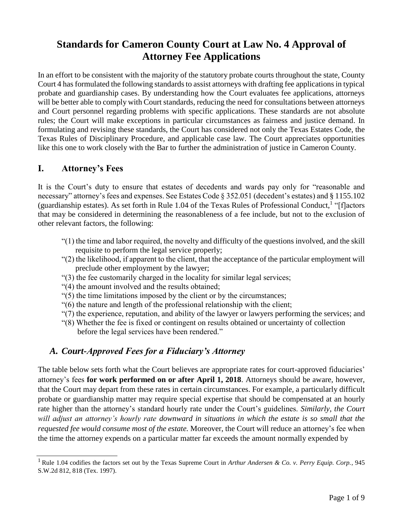# **Standards for Cameron County Court at Law No. 4 Approval of Attorney Fee Applications**

In an effort to be consistent with the majority of the statutory probate courts throughout the state, County Court 4 has formulated the following standards to assist attorneys with drafting fee applications in typical probate and guardianship cases. By understanding how the Court evaluates fee applications, attorneys will be better able to comply with Court standards, reducing the need for consultations between attorneys and Court personnel regarding problems with specific applications. These standards are not absolute rules; the Court will make exceptions in particular circumstances as fairness and justice demand. In formulating and revising these standards, the Court has considered not only the Texas Estates Code, the Texas Rules of Disciplinary Procedure, and applicable case law. The Court appreciates opportunities like this one to work closely with the Bar to further the administration of justice in Cameron County.

### **I. Attorney's Fees**

It is the Court's duty to ensure that estates of decedents and wards pay only for "reasonable and necessary" attorney's fees and expenses. See Estates Code § 352.051 (decedent's estates) and § 1155.102 (guardianship estates). As set forth in Rule 1.04 of the Texas Rules of Professional Conduct,<sup>1</sup> "[f]actors that may be considered in determining the reasonableness of a fee include, but not to the exclusion of other relevant factors, the following:

- "(1) the time and labor required, the novelty and difficulty of the questions involved, and the skill requisite to perform the legal service properly;
- "(2) the likelihood, if apparent to the client, that the acceptance of the particular employment will preclude other employment by the lawyer;
- "(3) the fee customarily charged in the locality for similar legal services;
- "(4) the amount involved and the results obtained;
- "(5) the time limitations imposed by the client or by the circumstances;
- "(6) the nature and length of the professional relationship with the client;
- "(7) the experience, reputation, and ability of the lawyer or lawyers performing the services; and
- "(8) Whether the fee is fixed or contingent on results obtained or uncertainty of collection before the legal services have been rendered."

### *A. Court-Approved Fees for a Fiduciary's Attorney*

The table below sets forth what the Court believes are appropriate rates for court-approved fiduciaries' attorney's fees **for work performed on or after April 1, 2018**. Attorneys should be aware, however, that the Court may depart from these rates in certain circumstances. For example, a particularly difficult probate or guardianship matter may require special expertise that should be compensated at an hourly rate higher than the attorney's standard hourly rate under the Court's guidelines. *Similarly, the Court will adjust an attorney's hourly rate downward in situations in which the estate is so small that the requested fee would consume most of the estate.* Moreover, the Court will reduce an attorney's fee when the time the attorney expends on a particular matter far exceeds the amount normally expended by

<sup>1</sup> Rule 1.04 codifies the factors set out by the Texas Supreme Court in *Arthur Andersen & Co. v. Perry Equip. Corp.*, 945 S.W.2d 812, 818 (Tex. 1997).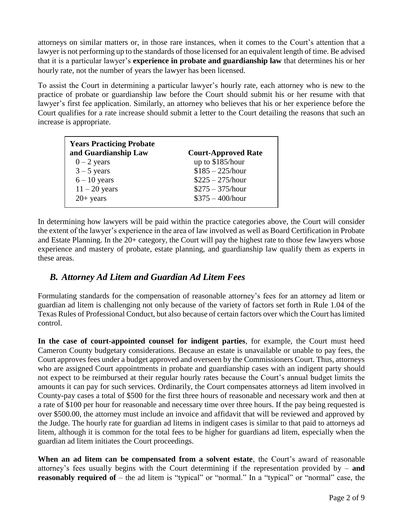attorneys on similar matters or, in those rare instances, when it comes to the Court's attention that a lawyer is not performing up to the standards of those licensed for an equivalent length of time. Be advised that it is a particular lawyer's **experience in probate and guardianship law** that determines his or her hourly rate, not the number of years the lawyer has been licensed.

To assist the Court in determining a particular lawyer's hourly rate, each attorney who is new to the practice of probate or guardianship law before the Court should submit his or her resume with that lawyer's first fee application. Similarly, an attorney who believes that his or her experience before the Court qualifies for a rate increase should submit a letter to the Court detailing the reasons that such an increase is appropriate.

| <b>Years Practicing Probate</b><br>and Guardianship Law | <b>Court-Approved Rate</b> |
|---------------------------------------------------------|----------------------------|
| $0 - 2$ years                                           | up to \$185/hour           |
| $3 - 5$ years                                           | $$185 - 225/hour$          |
| $6 - 10$ years                                          | $$225 - 275/hour$          |
| $11 - 20$ years                                         | $$275 - 375/hour$          |
| $20+$ years                                             | $$375 - 400/hour$          |

In determining how lawyers will be paid within the practice categories above, the Court will consider the extent of the lawyer's experience in the area of law involved as well as Board Certification in Probate and Estate Planning. In the 20+ category, the Court will pay the highest rate to those few lawyers whose experience and mastery of probate, estate planning, and guardianship law qualify them as experts in these areas.

### *B. Attorney Ad Litem and Guardian Ad Litem Fees*

Formulating standards for the compensation of reasonable attorney's fees for an attorney ad litem or guardian ad litem is challenging not only because of the variety of factors set forth in Rule 1.04 of the Texas Rules of Professional Conduct, but also because of certain factors over which the Court has limited control.

**In the case of court-appointed counsel for indigent parties**, for example, the Court must heed Cameron County budgetary considerations. Because an estate is unavailable or unable to pay fees, the Court approves fees under a budget approved and overseen by the Commissioners Court. Thus, attorneys who are assigned Court appointments in probate and guardianship cases with an indigent party should not expect to be reimbursed at their regular hourly rates because the Court's annual budget limits the amounts it can pay for such services. Ordinarily, the Court compensates attorneys ad litem involved in County-pay cases a total of \$500 for the first three hours of reasonable and necessary work and then at a rate of \$100 per hour for reasonable and necessary time over three hours. If the pay being requested is over \$500.00, the attorney must include an invoice and affidavit that will be reviewed and approved by the Judge. The hourly rate for guardian ad litems in indigent cases is similar to that paid to attorneys ad litem, although it is common for the total fees to be higher for guardians ad litem, especially when the guardian ad litem initiates the Court proceedings.

**When an ad litem can be compensated from a solvent estate**, the Court's award of reasonable attorney's fees usually begins with the Court determining if the representation provided by – **and reasonably required of** – the ad litem is "typical" or "normal." In a "typical" or "normal" case, the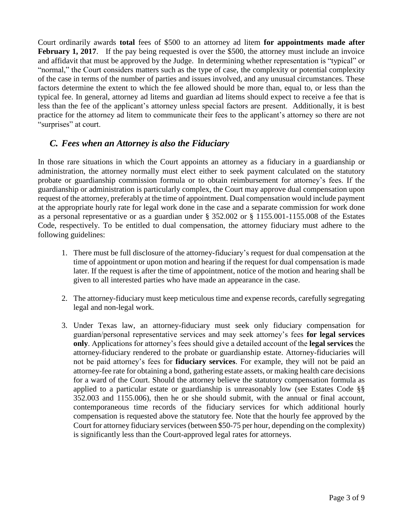Court ordinarily awards **total** fees of \$500 to an attorney ad litem **for appointments made after February 1, 2017.** If the pay being requested is over the \$500, the attorney must include an invoice and affidavit that must be approved by the Judge. In determining whether representation is "typical" or "normal," the Court considers matters such as the type of case, the complexity or potential complexity of the case in terms of the number of parties and issues involved, and any unusual circumstances. These factors determine the extent to which the fee allowed should be more than, equal to, or less than the typical fee. In general, attorney ad litems and guardian ad litems should expect to receive a fee that is less than the fee of the applicant's attorney unless special factors are present. Additionally, it is best practice for the attorney ad litem to communicate their fees to the applicant's attorney so there are not "surprises" at court.

### *C. Fees when an Attorney is also the Fiduciary*

In those rare situations in which the Court appoints an attorney as a fiduciary in a guardianship or administration, the attorney normally must elect either to seek payment calculated on the statutory probate or guardianship commission formula or to obtain reimbursement for attorney's fees. If the guardianship or administration is particularly complex, the Court may approve dual compensation upon request of the attorney, preferably at the time of appointment. Dual compensation would include payment at the appropriate hourly rate for legal work done in the case and a separate commission for work done as a personal representative or as a guardian under § 352.002 or § 1155.001-1155.008 of the Estates Code, respectively. To be entitled to dual compensation, the attorney fiduciary must adhere to the following guidelines:

- 1. There must be full disclosure of the attorney-fiduciary's request for dual compensation at the time of appointment or upon motion and hearing if the request for dual compensation is made later. If the request is after the time of appointment, notice of the motion and hearing shall be given to all interested parties who have made an appearance in the case.
- 2. The attorney-fiduciary must keep meticulous time and expense records, carefully segregating legal and non-legal work.
- 3. Under Texas law, an attorney-fiduciary must seek only fiduciary compensation for guardian/personal representative services and may seek attorney's fees **for legal services only**. Applications for attorney's fees should give a detailed account of the **legal services** the attorney-fiduciary rendered to the probate or guardianship estate. Attorney-fiduciaries will not be paid attorney's fees for **fiduciary services**. For example, they will not be paid an attorney-fee rate for obtaining a bond, gathering estate assets, or making health care decisions for a ward of the Court. Should the attorney believe the statutory compensation formula as applied to a particular estate or guardianship is unreasonably low (see Estates Code §§ 352.003 and 1155.006), then he or she should submit, with the annual or final account, contemporaneous time records of the fiduciary services for which additional hourly compensation is requested above the statutory fee. Note that the hourly fee approved by the Court for attorney fiduciary services (between \$50-75 per hour, depending on the complexity) is significantly less than the Court-approved legal rates for attorneys.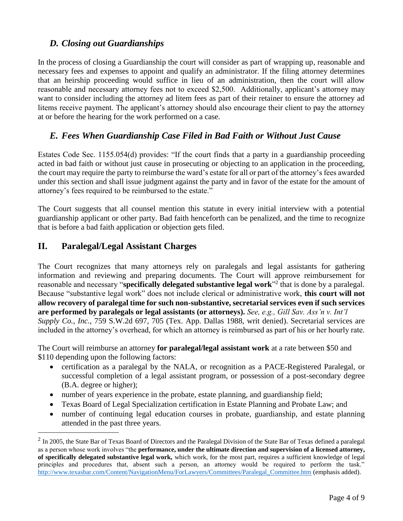### *D. Closing out Guardianships*

In the process of closing a Guardianship the court will consider as part of wrapping up, reasonable and necessary fees and expenses to appoint and qualify an administrator. If the filing attorney determines that an heirship proceeding would suffice in lieu of an administration, then the court will allow reasonable and necessary attorney fees not to exceed \$2,500. Additionally, applicant's attorney may want to consider including the attorney ad litem fees as part of their retainer to ensure the attorney ad litems receive payment. The applicant's attorney should also encourage their client to pay the attorney at or before the hearing for the work performed on a case.

## *E. Fees When Guardianship Case Filed in Bad Faith or Without Just Cause*

Estates Code Sec. 1155.054(d) provides: "If the court finds that a party in a guardianship proceeding acted in bad faith or without just cause in prosecuting or objecting to an application in the proceeding, the court may require the party to reimburse the ward's estate for all or part of the attorney's fees awarded under this section and shall issue judgment against the party and in favor of the estate for the amount of attorney's fees required to be reimbursed to the estate."

The Court suggests that all counsel mention this statute in every initial interview with a potential guardianship applicant or other party. Bad faith henceforth can be penalized, and the time to recognize that is before a bad faith application or objection gets filed.

### **II. Paralegal/Legal Assistant Charges**

The Court recognizes that many attorneys rely on paralegals and legal assistants for gathering information and reviewing and preparing documents. The Court will approve reimbursement for reasonable and necessary "**specifically delegated substantive legal work**" 2 that is done by a paralegal. Because "substantive legal work" does not include clerical or administrative work, **this court will not allow recovery of paralegal time for such non-substantive, secretarial services even if such services are performed by paralegals or legal assistants (or attorneys).** *See, e.g., Gill Sav. Ass'n v. Int'l Supply Co., Inc.*, 759 S.W.2d 697, 705 (Tex. App. Dallas 1988, writ denied). Secretarial services are included in the attorney's overhead, for which an attorney is reimbursed as part of his or her hourly rate.

The Court will reimburse an attorney **for paralegal/legal assistant work** at a rate between \$50 and \$110 depending upon the following factors:

- certification as a paralegal by the NALA, or recognition as a PACE-Registered Paralegal, or successful completion of a legal assistant program, or possession of a post-secondary degree (B.A. degree or higher);
- number of years experience in the probate, estate planning, and guardianship field;
- Texas Board of Legal Specialization certification in Estate Planning and Probate Law; and
- number of continuing legal education courses in probate, guardianship, and estate planning attended in the past three years.

 $2 \text{ In } 2005$ , the State Bar of Texas Board of Directors and the Paralegal Division of the State Bar of Texas defined a paralegal as a person whose work involves "the **performance, under the ultimate direction and supervision of a licensed attorney, of specifically delegated substantive legal work,** which work, for the most part, requires a sufficient knowledge of legal principles and procedures that, absent such a person, an attorney would be required to perform the task." [http://www.texasbar.com/Content/NavigationMenu/ForLawyers/Committees/Paralegal\\_Committee.htm](http://www.texasbar.com/Content/NavigationMenu/ForLawyers/Committees/Paralegal_Committee.htm) (emphasis added).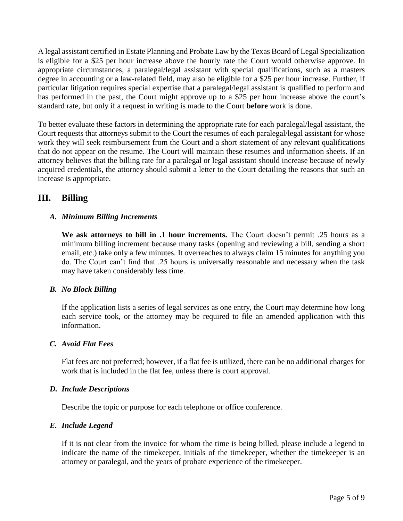A legal assistant certified in Estate Planning and Probate Law by the Texas Board of Legal Specialization is eligible for a \$25 per hour increase above the hourly rate the Court would otherwise approve. In appropriate circumstances, a paralegal/legal assistant with special qualifications, such as a masters degree in accounting or a law-related field, may also be eligible for a \$25 per hour increase. Further, if particular litigation requires special expertise that a paralegal/legal assistant is qualified to perform and has performed in the past, the Court might approve up to a \$25 per hour increase above the court's standard rate, but only if a request in writing is made to the Court **before** work is done.

To better evaluate these factors in determining the appropriate rate for each paralegal/legal assistant, the Court requests that attorneys submit to the Court the resumes of each paralegal/legal assistant for whose work they will seek reimbursement from the Court and a short statement of any relevant qualifications that do not appear on the resume. The Court will maintain these resumes and information sheets. If an attorney believes that the billing rate for a paralegal or legal assistant should increase because of newly acquired credentials, the attorney should submit a letter to the Court detailing the reasons that such an increase is appropriate.

## **III. Billing**

### *A. Minimum Billing Increments*

**We ask attorneys to bill in .1 hour increments.** The Court doesn't permit .25 hours as a minimum billing increment because many tasks (opening and reviewing a bill, sending a short email, etc.) take only a few minutes. It overreaches to always claim 15 minutes for anything you do. The Court can't find that .25 hours is universally reasonable and necessary when the task may have taken considerably less time.

#### *B. No Block Billing*

If the application lists a series of legal services as one entry, the Court may determine how long each service took, or the attorney may be required to file an amended application with this information.

#### *C. Avoid Flat Fees*

Flat fees are not preferred; however, if a flat fee is utilized, there can be no additional charges for work that is included in the flat fee, unless there is court approval.

#### *D. Include Descriptions*

Describe the topic or purpose for each telephone or office conference.

#### *E. Include Legend*

If it is not clear from the invoice for whom the time is being billed, please include a legend to indicate the name of the timekeeper, initials of the timekeeper, whether the timekeeper is an attorney or paralegal, and the years of probate experience of the timekeeper.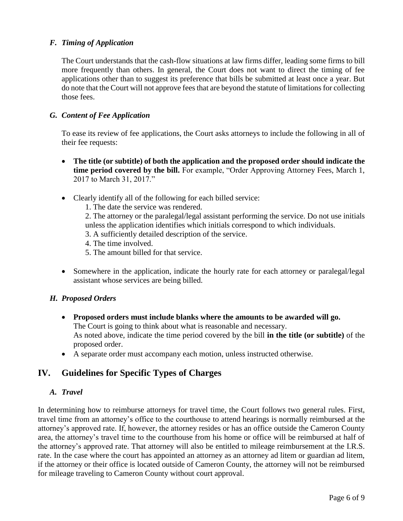#### *F. Timing of Application*

The Court understands that the cash-flow situations at law firms differ, leading some firms to bill more frequently than others. In general, the Court does not want to direct the timing of fee applications other than to suggest its preference that bills be submitted at least once a year. But do note that the Court will not approve fees that are beyond the statute of limitations for collecting those fees.

#### *G. Content of Fee Application*

To ease its review of fee applications, the Court asks attorneys to include the following in all of their fee requests:

- **The title (or subtitle) of both the application and the proposed order should indicate the time period covered by the bill.** For example, "Order Approving Attorney Fees, March 1, 2017 to March 31, 2017."
- Clearly identify all of the following for each billed service:
	- 1. The date the service was rendered.

2. The attorney or the paralegal/legal assistant performing the service. Do not use initials unless the application identifies which initials correspond to which individuals.

- 3. A sufficiently detailed description of the service.
- 4. The time involved.
- 5. The amount billed for that service.
- Somewhere in the application, indicate the hourly rate for each attorney or paralegal/legal assistant whose services are being billed.

#### *H. Proposed Orders*

- **Proposed orders must include blanks where the amounts to be awarded will go.** The Court is going to think about what is reasonable and necessary. As noted above, indicate the time period covered by the bill **in the title (or subtitle)** of the proposed order.
- A separate order must accompany each motion, unless instructed otherwise.

### **IV. Guidelines for Specific Types of Charges**

#### *A. Travel*

In determining how to reimburse attorneys for travel time, the Court follows two general rules. First, travel time from an attorney's office to the courthouse to attend hearings is normally reimbursed at the attorney's approved rate. If, however, the attorney resides or has an office outside the Cameron County area, the attorney's travel time to the courthouse from his home or office will be reimbursed at half of the attorney's approved rate. That attorney will also be entitled to mileage reimbursement at the I.R.S. rate. In the case where the court has appointed an attorney as an attorney ad litem or guardian ad litem, if the attorney or their office is located outside of Cameron County, the attorney will not be reimbursed for mileage traveling to Cameron County without court approval.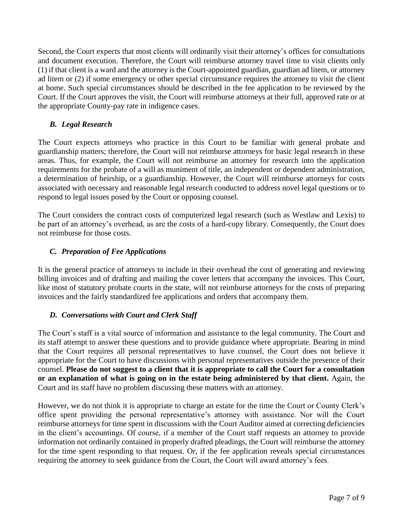Second, the Court expects that most clients will ordinarily visit their attorney's offices for consultations and document execution. Therefore, the Court will reimburse attorney travel time to visit clients only (1) if that client is a ward and the attorney is the Court-appointed guardian, guardian ad litem, or attorney ad litem or (2) if some emergency or other special circumstance requires the attorney to visit the client at home. Such special circumstances should be described in the fee application to be reviewed by the Court. If the Court approves the visit, the Court will reimburse attorneys at their full, approved rate or at the appropriate County-pay rate in indigence cases.

### *B. Legal Research*

The Court expects attorneys who practice in this Court to be familiar with general probate and guardianship matters; therefore, the Court will not reimburse attorneys for basic legal research in these areas. Thus, for example, the Court will not reimburse an attorney for research into the application requirements for the probate of a will as muniment of title, an independent or dependent administration, a determination of heirship, or a guardianship. However, the Court will reimburse attorneys for costs associated with necessary and reasonable legal research conducted to address novel legal questions or to respond to legal issues posed by the Court or opposing counsel.

The Court considers the contract costs of computerized legal research (such as Westlaw and Lexis) to be part of an attorney's overhead, as are the costs of a hard-copy library. Consequently, the Court does not reimburse for those costs.

### *C. Preparation of Fee Applications*

It is the general practice of attorneys to include in their overhead the cost of generating and reviewing billing invoices and of drafting and mailing the cover letters that accompany the invoices. This Court, like most of statutory probate courts in the state, will not reimburse attorneys for the costs of preparing invoices and the fairly standardized fee applications and orders that accompany them.

#### *D. Conversations with Court and Clerk Staff*

The Court's staff is a vital source of information and assistance to the legal community. The Court and its staff attempt to answer these questions and to provide guidance where appropriate. Bearing in mind that the Court requires all personal representatives to have counsel, the Court does not believe it appropriate for the Court to have discussions with personal representatives outside the presence of their counsel. **Please do not suggest to a client that it is appropriate to call the Court for a consultation or an explanation of what is going on in the estate being administered by that client.** Again, the Court and its staff have no problem discussing these matters with an attorney.

However, we do not think it is appropriate to charge an estate for the time the Court or County Clerk's office spent providing the personal representative's attorney with assistance. Nor will the Court reimburse attorneys for time spent in discussions with the Court Auditor aimed at correcting deficiencies in the client's accountings. Of course, if a member of the Court staff requests an attorney to provide information not ordinarily contained in properly drafted pleadings, the Court will reimburse the attorney for the time spent responding to that request. Or, if the fee application reveals special circumstances requiring the attorney to seek guidance from the Court, the Court will award attorney's fees.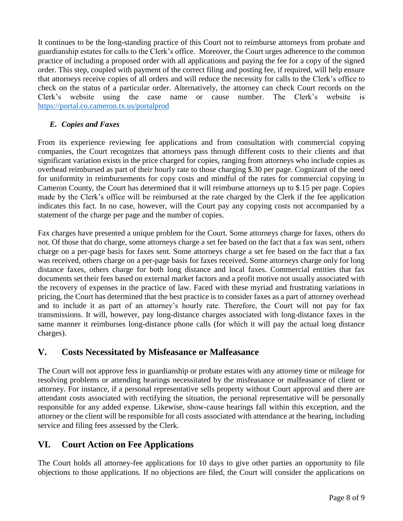It continues to be the long-standing practice of this Court not to reimburse attorneys from probate and guardianship estates for calls to the Clerk's office. Moreover, the Court urges adherence to the common practice of including a proposed order with all applications and paying the fee for a copy of the signed order. This step, coupled with payment of the correct filing and posting fee, if required, will help ensure that attorneys receive copies of all orders and will reduce the necessity for calls to the Clerk's office to check on the status of a particular order. Alternatively, the attorney can check Court records on the Clerk's website using the case name or cause number. The Clerk's website is <https://portal.co.cameron.tx.us/portalprod>

### *E. Copies and Faxes*

From its experience reviewing fee applications and from consultation with commercial copying companies, the Court recognizes that attorneys pass through different costs to their clients and that significant variation exists in the price charged for copies, ranging from attorneys who include copies as overhead reimbursed as part of their hourly rate to those charging \$.30 per page. Cognizant of the need for uniformity in reimbursements for copy costs and mindful of the rates for commercial copying in Cameron County, the Court has determined that it will reimburse attorneys up to \$.15 per page. Copies made by the Clerk's office will be reimbursed at the rate charged by the Clerk if the fee application indicates this fact. In no case, however, will the Court pay any copying costs not accompanied by a statement of the charge per page and the number of copies.

Fax charges have presented a unique problem for the Court. Some attorneys charge for faxes, others do not. Of those that do charge, some attorneys charge a set fee based on the fact that a fax was sent, others charge on a per-page basis for faxes sent. Some attorneys charge a set fee based on the fact that a fax was received, others charge on a per-page basis for faxes received. Some attorneys charge only for long distance faxes, others charge for both long distance and local faxes. Commercial entities that fax documents set their fees based on external market factors and a profit motive not usually associated with the recovery of expenses in the practice of law. Faced with these myriad and frustrating variations in pricing, the Court has determined that the best practice is to consider faxes as a part of attorney overhead and to include it as part of an attorney's hourly rate. Therefore, the Court will not pay for fax transmissions. It will, however, pay long-distance charges associated with long-distance faxes in the same manner it reimburses long-distance phone calls (for which it will pay the actual long distance charges).

# **V. Costs Necessitated by Misfeasance or Malfeasance**

The Court will not approve fess in guardianship or probate estates with any attorney time or mileage for resolving problems or attending hearings necessitated by the misfeasance or malfeasance of client or attorney. For instance, if a personal representative sells property without Court approval and there are attendant costs associated with rectifying the situation, the personal representative will be personally responsible for any added expense. Likewise, show-cause hearings fall within this exception, and the attorney or the client will be responsible for all costs associated with attendance at the hearing, including service and filing fees assessed by the Clerk.

# **VI. Court Action on Fee Applications**

The Court holds all attorney-fee applications for 10 days to give other parties an opportunity to file objections to those applications. If no objections are filed, the Court will consider the applications on